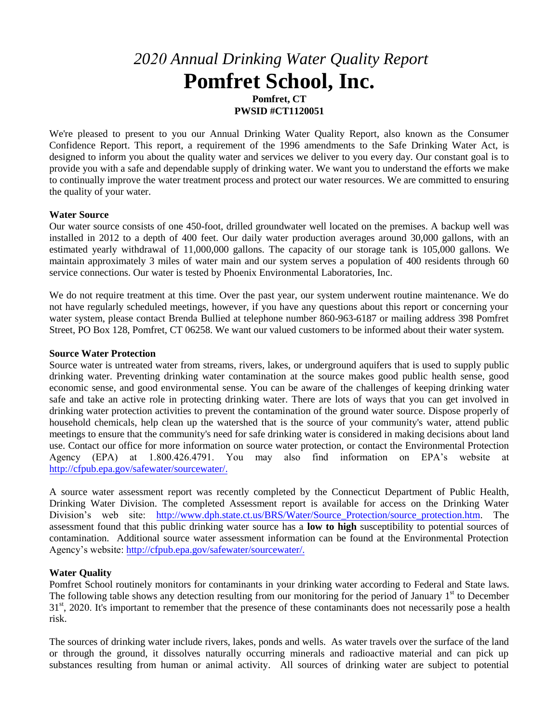# *2020 Annual Drinking Water Quality Report* **Pomfret School, Inc.**

**Pomfret, CT PWSID #CT1120051** 

We're pleased to present to you our Annual Drinking Water Quality Report, also known as the Consumer Confidence Report. This report, a requirement of the 1996 amendments to the Safe Drinking Water Act, is designed to inform you about the quality water and services we deliver to you every day. Our constant goal is to provide you with a safe and dependable supply of drinking water. We want you to understand the efforts we make to continually improve the water treatment process and protect our water resources. We are committed to ensuring the quality of your water.

### **Water Source**

Our water source consists of one 450-foot, drilled groundwater well located on the premises. A backup well was installed in 2012 to a depth of 400 feet. Our daily water production averages around 30,000 gallons, with an estimated yearly withdrawal of 11,000,000 gallons. The capacity of our storage tank is 105,000 gallons. We maintain approximately 3 miles of water main and our system serves a population of 400 residents through 60 service connections. Our water is tested by Phoenix Environmental Laboratories, Inc.

We do not require treatment at this time. Over the past year, our system underwent routine maintenance. We do not have regularly scheduled meetings, however, if you have any questions about this report or concerning your water system, please contact Brenda Bullied at telephone number 860-963-6187 or mailing address 398 Pomfret Street, PO Box 128, Pomfret, CT 06258. We want our valued customers to be informed about their water system.

### **Source Water Protection**

Source water is untreated water from streams, rivers, lakes, or underground aquifers that is used to supply public drinking water. Preventing drinking water contamination at the source makes good public health sense, good economic sense, and good environmental sense. You can be aware of the challenges of keeping drinking water safe and take an active role in protecting drinking water. There are lots of ways that you can get involved in drinking water protection activities to prevent the contamination of the ground water source. Dispose properly of household chemicals, help clean up the watershed that is the source of your community's water, attend public meetings to ensure that the community's need for safe drinking water is considered in making decisions about land use. Contact our office for more information on source water protection, or contact the Environmental Protection Agency (EPA) at 1.800.426.4791. You may also find information on EPA's website at http://cfpub.epa.gov/safewater/sourcewater/.

A source water assessment report was recently completed by the Connecticut Department of Public Health, Drinking Water Division. The completed Assessment report is available for access on the Drinking Water Division's web site: http://www.dph.state.ct.us/BRS/Water/Source Protection/source protection.htm. The assessment found that this public drinking water source has a **low to high** susceptibility to potential sources of contamination. Additional source water assessment information can be found at the Environmental Protection Agency's website: http://cfpub.epa.gov/safewater/sourcewater/.

## **Water Quality**

Pomfret School routinely monitors for contaminants in your drinking water according to Federal and State laws. The following table shows any detection resulting from our monitoring for the period of January 1<sup>st</sup> to December 31<sup>st</sup>, 2020. It's important to remember that the presence of these contaminants does not necessarily pose a health risk.

The sources of drinking water include rivers, lakes, ponds and wells. As water travels over the surface of the land or through the ground, it dissolves naturally occurring minerals and radioactive material and can pick up substances resulting from human or animal activity. All sources of drinking water are subject to potential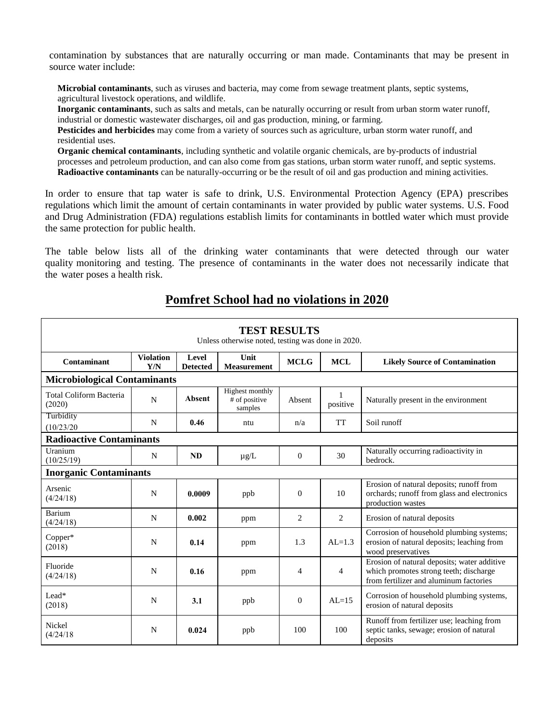contamination by substances that are naturally occurring or man made. Contaminants that may be present in source water include:

**Microbial contaminants**, such as viruses and bacteria, may come from sewage treatment plants, septic systems, agricultural livestock operations, and wildlife.

**Inorganic contaminants**, such as salts and metals, can be naturally occurring or result from urban storm water runoff, industrial or domestic wastewater discharges, oil and gas production, mining, or farming.

**Pesticides and herbicides** may come from a variety of sources such as agriculture, urban storm water runoff, and residential uses.

**Organic chemical contaminants**, including synthetic and volatile organic chemicals, are by-products of industrial processes and petroleum production, and can also come from gas stations, urban storm water runoff, and septic systems. **Radioactive contaminants** can be naturally-occurring or be the result of oil and gas production and mining activities.

In order to ensure that tap water is safe to drink, U.S. Environmental Protection Agency (EPA) prescribes regulations which limit the amount of certain contaminants in water provided by public water systems. U.S. Food and Drug Administration (FDA) regulations establish limits for contaminants in bottled water which must provide the same protection for public health.

The table below lists all of the drinking water contaminants that were detected through our water quality monitoring and testing. The presence of contaminants in the water does not necessarily indicate that the water poses a health risk.

# **Pomfret School had no violations in 2020**

| <b>TEST RESULTS</b><br>Unless otherwise noted, testing was done in 2020. |                         |                          |                                             |                |               |                                                                                                                                 |  |  |  |  |  |
|--------------------------------------------------------------------------|-------------------------|--------------------------|---------------------------------------------|----------------|---------------|---------------------------------------------------------------------------------------------------------------------------------|--|--|--|--|--|
| Contaminant                                                              | <b>Violation</b><br>Y/N | Level<br><b>Detected</b> | Unit<br><b>Measurement</b>                  | <b>MCLG</b>    | <b>MCL</b>    | <b>Likely Source of Contamination</b>                                                                                           |  |  |  |  |  |
| <b>Microbiological Contaminants</b>                                      |                         |                          |                                             |                |               |                                                                                                                                 |  |  |  |  |  |
| Total Coliform Bacteria<br>(2020)                                        | $\mathbf N$             | <b>Absent</b>            | Highest monthly<br># of positive<br>samples | Absent         | 1<br>positive | Naturally present in the environment                                                                                            |  |  |  |  |  |
| Turbidity<br>(10/23/20)                                                  | N                       | 0.46                     | ntu                                         | n/a            | <b>TT</b>     | Soil runoff                                                                                                                     |  |  |  |  |  |
| <b>Radioactive Contaminants</b>                                          |                         |                          |                                             |                |               |                                                                                                                                 |  |  |  |  |  |
| Uranium<br>(10/25/19)                                                    | N                       | <b>ND</b>                | $\mu$ g/L                                   | $\Omega$       | 30            | Naturally occurring radioactivity in<br>bedrock.                                                                                |  |  |  |  |  |
| <b>Inorganic Contaminants</b>                                            |                         |                          |                                             |                |               |                                                                                                                                 |  |  |  |  |  |
| Arsenic<br>(4/24/18)                                                     | N                       | 0.0009                   | ppb                                         | $\overline{0}$ | 10            | Erosion of natural deposits; runoff from<br>orchards; runoff from glass and electronics<br>production wastes                    |  |  |  |  |  |
| Barium<br>(4/24/18)                                                      | N                       | 0.002                    | ppm                                         | 2              | 2             | Erosion of natural deposits                                                                                                     |  |  |  |  |  |
| Copper*<br>(2018)                                                        | N                       | 0.14                     | ppm                                         | 1.3            | $AI = 1.3$    | Corrosion of household plumbing systems;<br>erosion of natural deposits; leaching from<br>wood preservatives                    |  |  |  |  |  |
| Fluoride<br>(4/24/18)                                                    | N                       | 0.16                     | ppm                                         | $\overline{4}$ | 4             | Erosion of natural deposits; water additive<br>which promotes strong teeth; discharge<br>from fertilizer and aluminum factories |  |  |  |  |  |
| $L$ ead*<br>(2018)                                                       | N                       | 3.1                      | ppb                                         | $\overline{0}$ | $AI = 15$     | Corrosion of household plumbing systems,<br>erosion of natural deposits                                                         |  |  |  |  |  |
| Nickel<br>(4/24/18)                                                      | N                       | 0.024                    | ppb                                         | 100            | 100           | Runoff from fertilizer use; leaching from<br>septic tanks, sewage; erosion of natural<br>deposits                               |  |  |  |  |  |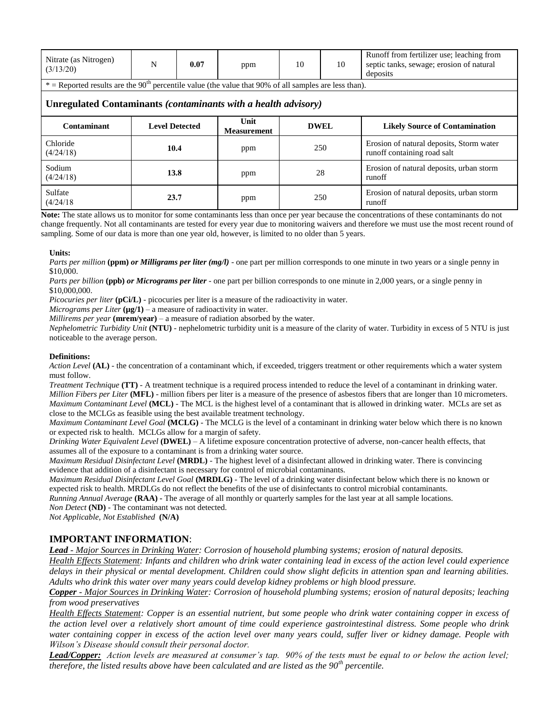| Nitrate (as Nitrogen)<br>(3/13/20)                                                                                  | N                     | 0.07 | ppm                        | 10          | 10 | Runoff from fertilizer use; leaching from<br>septic tanks, sewage; erosion of natural<br>deposits |  |  |  |  |
|---------------------------------------------------------------------------------------------------------------------|-----------------------|------|----------------------------|-------------|----|---------------------------------------------------------------------------------------------------|--|--|--|--|
| $*$ = Reported results are the 90 <sup>th</sup> percentile value (the value that 90% of all samples are less than). |                       |      |                            |             |    |                                                                                                   |  |  |  |  |
| Unregulated Contaminants (contaminants with a health advisory)                                                      |                       |      |                            |             |    |                                                                                                   |  |  |  |  |
| Contaminant                                                                                                         | <b>Level Detected</b> |      | Unit<br><b>Measurement</b> | <b>DWEL</b> |    | <b>Likely Source of Contamination</b>                                                             |  |  |  |  |
| Chloride<br>(4/24/18)                                                                                               | 10.4                  |      | ppm                        | 250         |    | Erosion of natural deposits, Storm water<br>runoff containing road salt                           |  |  |  |  |
| Sodium<br>(4/24/18)                                                                                                 | 13.8                  |      | 28<br>ppm                  |             |    | Erosion of natural deposits, urban storm<br>runoff                                                |  |  |  |  |
| Sulfate<br>(4/24/18)                                                                                                | 23.7                  |      | ppm                        | 250         |    | Erosion of natural deposits, urban storm<br>runoff                                                |  |  |  |  |

**Note:** The state allows us to monitor for some contaminants less than once per year because the concentrations of these contaminants do not change frequently. Not all contaminants are tested for every year due to monitoring waivers and therefore we must use the most recent round of sampling. Some of our data is more than one year old, however, is limited to no older than 5 years.

### **Units:**

*Parts per million* (ppm) *or Milligrams per liter (mg/l)* - one part per million corresponds to one minute in two years or a single penny in \$10,000.

*Parts per billion* **(ppb)** *or Micrograms per liter* - one part per billion corresponds to one minute in 2,000 years, or a single penny in \$10,000,000.

*Picocuries per liter* **(pCi/L)** - picocuries per liter is a measure of the radioactivity in water.

*Micrograms per Liter*  $(\mu g/1)$  – a measure of radioactivity in water.

*Millirems per year* **(mrem/year)** – a measure of radiation absorbed by the water.

*Nephelometric Turbidity Unit* **(NTU)** - nephelometric turbidity unit is a measure of the clarity of water. Turbidity in excess of 5 NTU is just noticeable to the average person.

### **Definitions:**

*Action Level* **(AL)** - the concentration of a contaminant which, if exceeded, triggers treatment or other requirements which a water system must follow.

*Treatment Technique* **(TT)** - A treatment technique is a required process intended to reduce the level of a contaminant in drinking water. *Million Fibers per Liter* **(MFL)** - million fibers per liter is a measure of the presence of asbestos fibers that are longer than 10 micrometers. *Maximum Contaminant Level* (MCL) - The MCL is the highest level of a contaminant that is allowed in drinking water. MCLs are set as close to the MCLGs as feasible using the best available treatment technology.

*Maximum Contaminant Level Goal* **(MCLG)** - The MCLG is the level of a contaminant in drinking water below which there is no known or expected risk to health. MCLGs allow for a margin of safety.

*Drinking Water Equivalent Level* **(DWEL)** *–* A lifetime exposure concentration protective of adverse, non-cancer health effects, that assumes all of the exposure to a contaminant is from a drinking water source.

*Maximum Residual Disinfectant Level* **(MRDL)** - The highest level of a disinfectant allowed in drinking water. There is convincing evidence that addition of a disinfectant is necessary for control of microbial contaminants.

*Maximum Residual Disinfectant Level Goal* **(MRDLG)** - The level of a drinking water disinfectant below which there is no known or expected risk to health. MRDLGs do not reflect the benefits of the use of disinfectants to control microbial contaminants.

*Running Annual Average* **(RAA) -** The average of all monthly or quarterly samples for the last year at all sample locations.

*Non Detect* **(ND)** - The contaminant was not detected.

*Not Applicable, Not Established* **(N/A)**

## **IMPORTANT INFORMATION**:

*Lead - Major Sources in Drinking Water: Corrosion of household plumbing systems; erosion of natural deposits.* 

*Health Effects Statement: Infants and children who drink water containing lead in excess of the action level could experience delays in their physical or mental development. Children could show slight deficits in attention span and learning abilities. Adults who drink this water over many years could develop kidney problems or high blood pressure.* 

*Copper - Major Sources in Drinking Water: Corrosion of household plumbing systems; erosion of natural deposits; leaching from wood preservatives* 

*Health Effects Statement: Copper is an essential nutrient, but some people who drink water containing copper in excess of the action level over a relatively short amount of time could experience gastrointestinal distress. Some people who drink water containing copper in excess of the action level over many years could, suffer liver or kidney damage. People with Wilson's Disease should consult their personal doctor.* 

*Lead/Copper: Action levels are measured at consumer's tap. 90% of the tests must be equal to or below the action level; therefore, the listed results above have been calculated and are listed as the 90th percentile.*